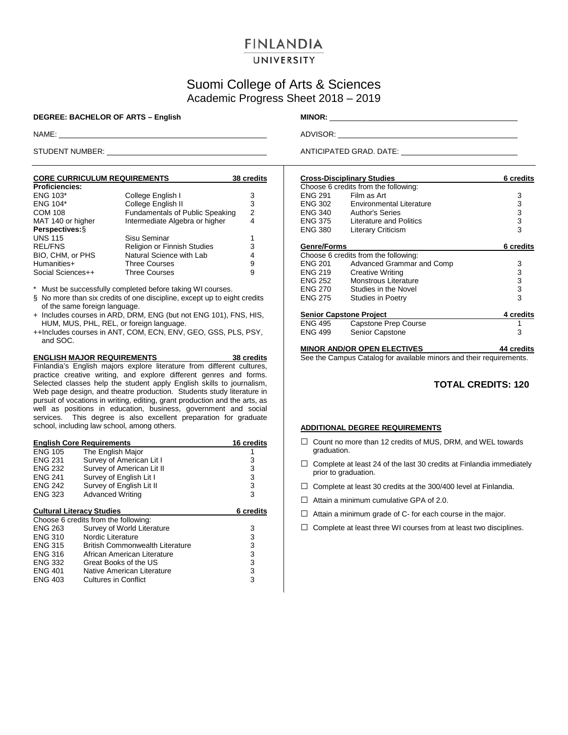# **FINLANDIA**

## UNIVERSITY

# Suomi College of Arts & Sciences Academic Progress Sheet 2018 – 2019

#### **DEGREE: BACHELOR OF ARTS – English MINOR:** \_\_\_\_\_

| <b>CORE CURRICULUM REQUIREMENTS</b> | 38 credits                             |   |
|-------------------------------------|----------------------------------------|---|
| <b>Proficiencies:</b>               |                                        |   |
| <b>ENG 103*</b>                     | College English I                      | 3 |
| <b>ENG 104*</b>                     | College English II                     | 3 |
| <b>COM 108</b>                      | <b>Fundamentals of Public Speaking</b> | 2 |
| MAT 140 or higher                   | Intermediate Algebra or higher         | 4 |
| Perspectives: §                     |                                        |   |
| <b>UNS 115</b>                      | Sisu Seminar                           |   |
| <b>REL/FNS</b>                      | Religion or Finnish Studies            | 3 |
| BIO, CHM, or PHS                    | Natural Science with Lab               | 4 |
| Humanities+                         | <b>Three Courses</b>                   | 9 |
| Social Sciences++                   | <b>Three Courses</b>                   | 9 |

\* Must be successfully completed before taking WI courses.

- § No more than six credits of one discipline, except up to eight credits of the same foreign language.
- + Includes courses in ARD, DRM, ENG (but not ENG 101), FNS, HIS, HUM, MUS, PHL, REL, or foreign language.
- ++Includes courses in ANT, COM, ECN, ENV, GEO, GSS, PLS, PSY, and SOC.

**ENGLISH MAJOR REQUIREMENTS 38 credits** Finlandia's English majors explore literature from different cultures, practice creative writing, and explore different genres and forms. Selected classes help the student apply English skills to journalism, Web page design, and theatre production. Students study literature in pursuit of vocations in writing, editing, grant production and the arts, as well as positions in education, business, government and social services. This degree is also excellent preparation for graduate school, including law school, among others.

| <b>English Core Requirements</b> | 16 credits                             |           |
|----------------------------------|----------------------------------------|-----------|
| <b>ENG 105</b>                   | The English Major                      |           |
| <b>ENG 231</b>                   | Survey of American Lit I               | 3         |
| <b>ENG 232</b>                   | Survey of American Lit II              | 3         |
| <b>ENG 241</b>                   | Survey of English Lit I                | 3         |
| <b>ENG 242</b>                   | Survey of English Lit II               | 3         |
| <b>ENG 323</b>                   | <b>Advanced Writing</b>                | 3         |
|                                  |                                        |           |
|                                  | <b>Cultural Literacy Studies</b>       | 6 credits |
|                                  | Choose 6 credits from the following:   |           |
| <b>ENG 263</b>                   | Survey of World Literature             | 3         |
| <b>ENG 310</b>                   | Nordic Literature                      | 3         |
| <b>ENG 315</b>                   | <b>British Commonwealth Literature</b> | 3         |
| <b>ENG 316</b>                   | African American Literature            | 3         |
| <b>ENG 332</b>                   | Great Books of the US                  | 3         |
| <b>ENG 401</b>                   | Native American Literature             | 3         |
| <b>ENG 403</b>                   | Cultures in Conflict                   | 3         |
|                                  |                                        |           |

NAME: ADVISOR: ADVISOR: ADVISOR: ADVISOR: ADVISOR: ADVISOR: ADVISOR: ADVISOR: ADVISOR: ADVISOR: ADVISOR: ADVISOR: ADVISOR: ADVISOR: ADVISOR: ADVISOR: ADVISOR: ADVISOR: ADVISOR: ADVISOR: ADVISOR: ADVISOR: ADVISOR: ADVISOR:

STUDENT NUMBER: <u>ANTICIPATED GRAD.</u> DATE:

|                                | <b>Cross-Disciplinary Studies</b>                                   | 6 credits     |
|--------------------------------|---------------------------------------------------------------------|---------------|
|                                | Choose 6 credits from the following:                                |               |
| <b>ENG 291</b>                 | Film as Art                                                         | 3             |
| <b>ENG 302</b>                 | Environmental Literature                                            | 3             |
| ENG 340                        | <b>Author's Series</b>                                              | 3             |
| ENG 375                        | <b>Literature and Politics</b>                                      | $\frac{3}{3}$ |
| <b>ENG 380</b>                 | Literary Criticism                                                  |               |
| <b>Genre/Forms</b>             |                                                                     | 6 credits     |
|                                | Choose 6 credits from the following:                                |               |
| <b>ENG 201</b>                 | Advanced Grammar and Comp                                           | 3             |
| <b>ENG 219</b>                 | <b>Creative Writing</b>                                             | 3             |
| ENG 252                        | Monstrous Literature                                                | 3             |
| <b>ENG 270</b>                 | Studies in the Novel                                                | 3             |
| <b>ENG 275</b>                 | <b>Studies in Poetry</b>                                            | 3             |
| <b>Senior Capstone Project</b> |                                                                     | 4 credits     |
| <b>ENG 495</b>                 | Capstone Prep Course                                                | 1             |
| <b>ENG 499</b>                 | Senior Capstone                                                     | 3             |
|                                | <b>MINOR AND/OR OPEN ELECTIVES</b>                                  | 44 credits    |
|                                | See the Campus Catalog for available minors and their requirements. |               |

**TOTAL CREDITS: 120**

#### **ADDITIONAL DEGREE REQUIREMENTS**

- $\Box$  Count no more than 12 credits of MUS, DRM, and WEL towards graduation.
- $\Box$  Complete at least 24 of the last 30 credits at Finlandia immediately prior to graduation.
- $\Box$  Complete at least 30 credits at the 300/400 level at Finlandia.
- $\Box$  Attain a minimum cumulative GPA of 2.0.
- $\Box$  Attain a minimum grade of C- for each course in the major.
- $\square$  Complete at least three WI courses from at least two disciplines.